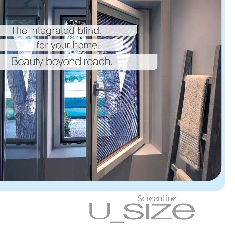

## ScreenLine® SIZ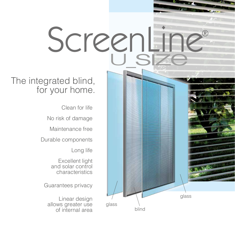## ScreenLi

## The integrated blind, for your home.

Clean for life

No risk of damage

Maintenance free

Durable components

Long life

Excellent light and solar control characteristics

Guarantees privacy

Linear design allows greater use of internal area

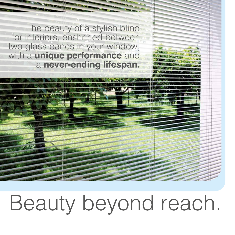The beauty of a stylish blind for interiors, enshrined between two glass panes in your window, with a **unique performance** and a **never-ending lifespan.**

## Beauty beyond reach.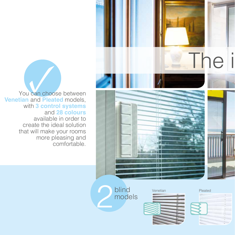

**Vou can choose between**<br> **Venetian** and Pleated models, with **3 control systems** and **28 colours** available in order to create the ideal solution that will make your rooms more pleasing and comfortable.

blind<br>models



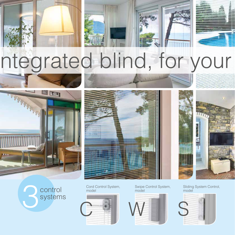

Surige Control System, Swipe Control System, Slid<br>Systems (Systems (System) and the model<br>Systems (System) and the model model model and model model model model model model model model model model model model model model m control systems

Cord Control System, model



Swipe Control System, model



Sliding System Control, model

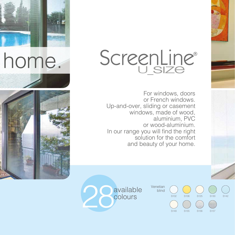



For windows, doors or French windows. Up-and-over, sliding or casement windows, made of wood, aluminium, PVC or wood-aluminium. In our range you will find the right solution for the comfort and beauty of your home.



blind

S102 S106 S125 S130 S142

S149 S155 S156 S157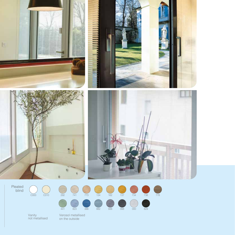







Pleated blind

 C000 C010

Vanity not metallised Verosol metallised on the outside